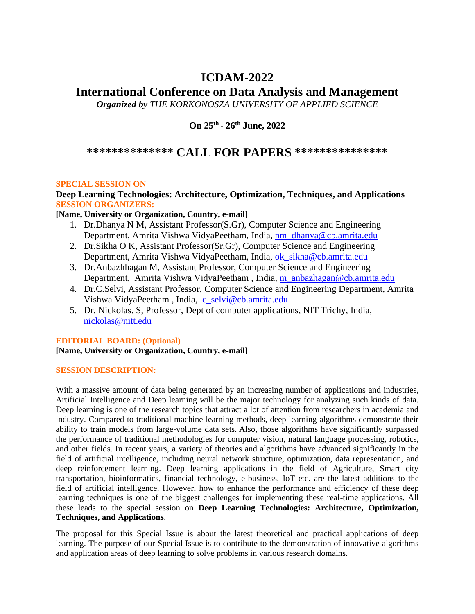## **ICDAM-2022**

# **International Conference on Data Analysis and Management**

*Organized by THE KORKONOSZA UNIVERSITY OF APPLIED SCIENCE* 

**On 25th - 26th June, 2022**

## **\*\*\*\*\*\*\*\*\*\*\*\*\*\* CALL FOR PAPERS \*\*\*\*\*\*\*\*\*\*\*\*\*\*\***

## **SPECIAL SESSION ON**

## **Deep Learning Technologies: Architecture, Optimization, Techniques, and Applications SESSION ORGANIZERS:**

**[Name, University or Organization, Country, e-mail]**

- 1. Dr.Dhanya N M, Assistant Professor(S.Gr), Computer Science and Engineering Department, Amrita Vishwa VidyaPeetham, India, [nm\\_dhanya@cb.amrita.edu](mailto:nm_dhanya@cb.amrita.edu)
- 2. Dr.Sikha O K, Assistant Professor(Sr.Gr), Computer Science and Engineering Department, Amrita Vishwa VidyaPeetham, India, [ok\\_sikha@cb.amrita.edu](mailto:ok_sikha@cb.amrita.edu)
- 3. Dr.Anbazhhagan M, Assistant Professor, Computer Science and Engineering Department, Amrita Vishwa VidyaPeetham , India, [m\\_anbazhagan@cb.amrita.edu](mailto:m_anbazhagan@cb.amrita.edu)
- 4. Dr.C.Selvi, Assistant Professor, Computer Science and Engineering Department, Amrita Vishwa VidyaPeetham, India, [c\\_selvi@cb.amrita.edu](mailto:c_selvi@cb.amrita.edu)
- 5. Dr. Nickolas. S, Professor, Dept of computer applications, NIT Trichy, India, [nickolas@nitt.edu](mailto:nickolas@nitt.edu)

## **EDITORIAL BOARD: (Optional)**

## **[Name, University or Organization, Country, e-mail]**

## **SESSION DESCRIPTION:**

With a massive amount of data being generated by an increasing number of applications and industries, Artificial Intelligence and Deep learning will be the major technology for analyzing such kinds of data. Deep learning is one of the research topics that attract a lot of attention from researchers in academia and industry. Compared to traditional machine learning methods, deep learning algorithms demonstrate their ability to train models from large-volume data sets. Also, those algorithms have significantly surpassed the performance of traditional methodologies for computer vision, natural language processing, robotics, and other fields. In recent years, a variety of theories and algorithms have advanced significantly in the field of artificial intelligence, including neural network structure, optimization, data representation, and deep reinforcement learning. Deep learning applications in the field of Agriculture, Smart city transportation, bioinformatics, financial technology, e-business, IoT etc. are the latest additions to the field of artificial intelligence. However, how to enhance the performance and efficiency of these deep learning techniques is one of the biggest challenges for implementing these real-time applications. All these leads to the special session on **Deep Learning Technologies: Architecture, Optimization, Techniques, and Applications**.

The proposal for this Special Issue is about the latest theoretical and practical applications of deep learning. The purpose of our Special Issue is to contribute to the demonstration of innovative algorithms and application areas of deep learning to solve problems in various research domains.